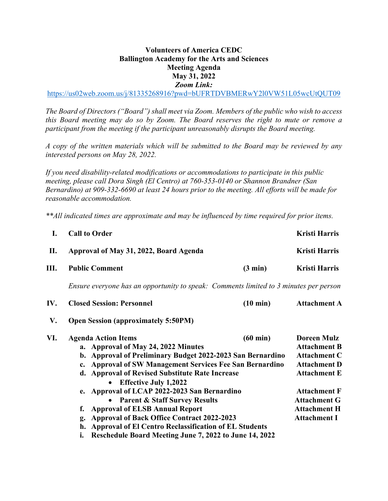## **Volunteers of America CEDC Ballington Academy for the Arts and Sciences Meeting Agenda May 31, 2022** *Zoom Link:*

https://us02web.zoom.us/j/81335268916?pwd=bUFRTDVBMERwY2l0VW51L05wcUtQUT09

*The Board of Directors ("Board") shall meet via Zoom. Members of the public who wish to access this Board meeting may do so by Zoom. The Board reserves the right to mute or remove a participant from the meeting if the participant unreasonably disrupts the Board meeting.*

*A copy of the written materials which will be submitted to the Board may be reviewed by any interested persons on May 28, 2022.*

*If you need disability-related modifications or accommodations to participate in this public meeting, please call Dora Singh (El Centro) at 760-353-0140 or Shannon Brandner (San Bernardino) at 909-332-6690 at least 24 hours prior to the meeting. All efforts will be made for reasonable accommodation.* 

*\*\*All indicated times are approximate and may be influenced by time required for prior items.* 

| I.  | <b>Call to Order</b><br>Approval of May 31, 2022, Board Agenda                                                                                                                                                                                                                                                                                                                                                                                                                                                                                              |                                                                                       | <b>Kristi Harris</b>                                                                                                                                                                                       |  |  |
|-----|-------------------------------------------------------------------------------------------------------------------------------------------------------------------------------------------------------------------------------------------------------------------------------------------------------------------------------------------------------------------------------------------------------------------------------------------------------------------------------------------------------------------------------------------------------------|---------------------------------------------------------------------------------------|------------------------------------------------------------------------------------------------------------------------------------------------------------------------------------------------------------|--|--|
| П.  |                                                                                                                                                                                                                                                                                                                                                                                                                                                                                                                                                             |                                                                                       | Kristi Harris                                                                                                                                                                                              |  |  |
| Ш.  | <b>Public Comment</b>                                                                                                                                                                                                                                                                                                                                                                                                                                                                                                                                       | $(3 \text{ min})$                                                                     | <b>Kristi Harris</b>                                                                                                                                                                                       |  |  |
|     |                                                                                                                                                                                                                                                                                                                                                                                                                                                                                                                                                             | Ensure everyone has an opportunity to speak: Comments limited to 3 minutes per person |                                                                                                                                                                                                            |  |  |
| IV. | <b>Closed Session: Personnel</b>                                                                                                                                                                                                                                                                                                                                                                                                                                                                                                                            | $(10 \text{ min})$                                                                    | <b>Attachment A</b>                                                                                                                                                                                        |  |  |
| V.  | <b>Open Session (approximately 5:50PM)</b>                                                                                                                                                                                                                                                                                                                                                                                                                                                                                                                  |                                                                                       |                                                                                                                                                                                                            |  |  |
| VI. | <b>Agenda Action Items</b><br>a. Approval of May 24, 2022 Minutes<br>b. Approval of Preliminary Budget 2022-2023 San Bernardino<br>c. Approval of SW Management Services Fee San Bernardino<br>d. Approval of Revised Substitute Rate Increase<br><b>Effective July 1,2022</b><br>$\bullet$<br>e. Approval of LCAP 2022-2023 San Bernardino<br><b>Parent &amp; Staff Survey Results</b><br><b>Approval of ELSB Annual Report</b><br><b>Approval of Back Office Contract 2022-2023</b><br>g.<br><b>Approval of El Centro Reclassification of EL Students</b> | $(60 \text{ min})$                                                                    | <b>Doreen Mulz</b><br><b>Attachment B</b><br><b>Attachment C</b><br><b>Attachment D</b><br><b>Attachment E</b><br><b>Attachment F</b><br><b>Attachment G</b><br><b>Attachment H</b><br><b>Attachment I</b> |  |  |
|     | Reschedule Board Meeting June 7, 2022 to June 14, 2022<br>i.                                                                                                                                                                                                                                                                                                                                                                                                                                                                                                |                                                                                       |                                                                                                                                                                                                            |  |  |